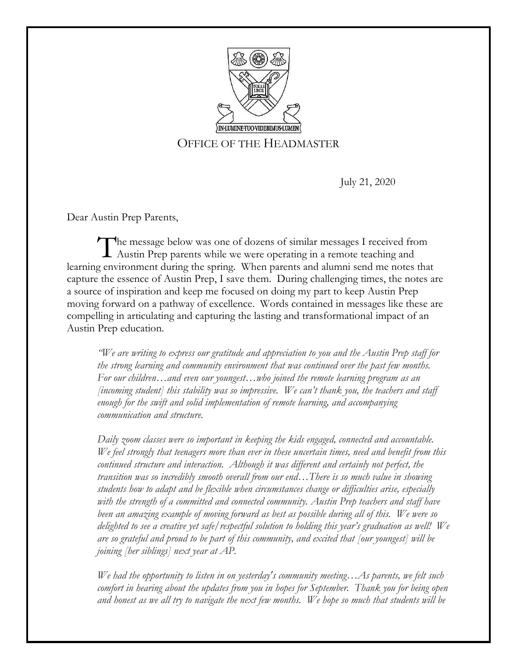

# OFFICE OF THE HEADMASTER

July 21, 2020

Dear Austin Prep Parents,

he message below was one of dozens of similar messages I received from The message below was one of dozens of similar messages I received from Austin Prep parents while we were operating in a remote teaching and learning environment during the spring. When parents and alumni send me notes that capture the essence of Austin Prep, I save them. During challenging times, the notes are a source of inspiration and keep me focused on doing my part to keep Austin Prep moving forward on a pathway of excellence. Words contained in messages like these are compelling in articulating and capturing the lasting and transformational impact of an Austin Prep education.

*"We are writing to express our gratitude and appreciation to you and the Austin Prep staff for the strong learning and community environment that was continued over the past few months. For our children…and even our youngest…who joined the remote learning program as an [incoming student] this stability was so impressive. We can't thank you, the teachers and staff enough for the swift and solid implementation of remote learning, and accompanying communication and structure.*

*Daily zoom classes were so important in keeping the kids engaged, connected and accountable. We feel strongly that teenagers more than ever in these uncertain times, need and benefit from this continued structure and interaction. Although it was different and certainly not perfect, the transition was so incredibly smooth overall from our end…There is so much value in showing students how to adapt and be flexible when circumstances change or difficulties arise, especially with the strength of a committed and connected community. Austin Prep teachers and staff have been an amazing example of moving forward as best as possible during all of this. We were so delighted to see a creative yet safe/respectful solution to holding this year's graduation as well! We are so grateful and proud to be part of this community, and excited that [our youngest] will be joining [her siblings] next year at AP.*

*We had the opportunity to listen in on yesterday's community meeting…As parents, we felt such comfort in hearing about the updates from you in hopes for September. Thank you for being open and honest as we all try to navigate the next few months. We hope so much that students will be*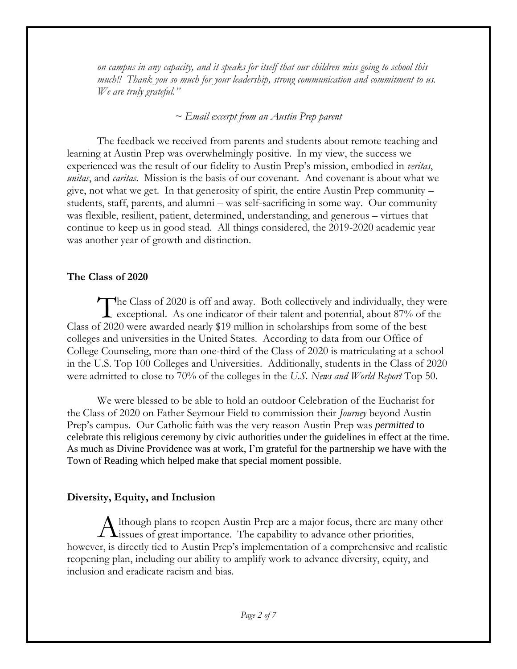*on campus in any capacity, and it speaks for itself that our children miss going to school this much!! Thank you so much for your leadership, strong communication and commitment to us. We are truly grateful."*

#### *~ Email excerpt from an Austin Prep parent*

The feedback we received from parents and students about remote teaching and learning at Austin Prep was overwhelmingly positive. In my view, the success we experienced was the result of our fidelity to Austin Prep's mission, embodied in *veritas*, *unitas*, and *caritas*. Mission is the basis of our covenant. And covenant is about what we give, not what we get. In that generosity of spirit, the entire Austin Prep community – students, staff, parents, and alumni – was self-sacrificing in some way. Our community was flexible, resilient, patient, determined, understanding, and generous – virtues that continue to keep us in good stead. All things considered, the 2019-2020 academic year was another year of growth and distinction.

#### **The Class of 2020**

The Class of 2020 is off and away. Both collectively and individually, they were<br>exceptional. As one indicator of their talent and potential, about 87% of the exceptional. As one indicator of their talent and potential, about 87% of the Class of 2020 were awarded nearly \$19 million in scholarships from some of the best colleges and universities in the United States. According to data from our Office of College Counseling, more than one-third of the Class of 2020 is matriculating at a school in the U.S. Top 100 Colleges and Universities. Additionally, students in the Class of 2020 were admitted to close to 70% of the colleges in the *U.S. News and World Report* Top 50.

We were blessed to be able to hold an outdoor Celebration of the Eucharist for the Class of 2020 on Father Seymour Field to commission their *Journey* beyond Austin Prep's campus. Our Catholic faith was the very reason Austin Prep was *permitted* to celebrate this religious ceremony by civic authorities under the guidelines in effect at the time. As much as Divine Providence was at work, I'm grateful for the partnership we have with the Town of Reading which helped make that special moment possible.

### **Diversity, Equity, and Inclusion**

 $\Lambda$  lthough plans to reopen Austin Prep are a major focus, there are many other Although plans to reopen Austin Prep are a major focus, there are many issues of great importance. The capability to advance other priorities, however, is directly tied to Austin Prep's implementation of a comprehensive and realistic reopening plan, including our ability to amplify work to advance diversity, equity, and inclusion and eradicate racism and bias.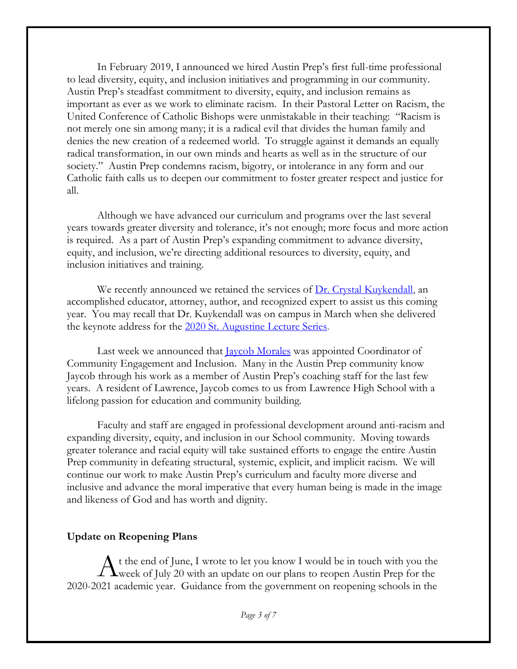In February 2019, I announced we hired Austin Prep's first full-time professional to lead diversity, equity, and inclusion initiatives and programming in our community. Austin Prep's steadfast commitment to diversity, equity, and inclusion remains as important as ever as we work to eliminate racism. In their Pastoral Letter on Racism, the United Conference of Catholic Bishops were unmistakable in their teaching: "Racism is not merely one sin among many; it is a radical evil that divides the human family and denies the new creation of a redeemed world. To struggle against it demands an equally radical transformation, in our own minds and hearts as well as in the structure of our society." Austin Prep condemns racism, bigotry, or intolerance in any form and our Catholic faith calls us to deepen our commitment to foster greater respect and justice for all.

Although we have advanced our curriculum and programs over the last several years towards greater diversity and tolerance, it's not enough; more focus and more action is required. As a part of Austin Prep's expanding commitment to advance diversity, equity, and inclusion, we're directing additional resources to diversity, equity, and inclusion initiatives and training.

We recently announced we retained the services of  $Dr$ . Crystal Kuykendall, an accomplished educator, attorney, author, and recognized expert to assist us this coming year. You may recall that Dr. Kuykendall was on campus in March when she delivered the keynote address for the [2020 St. Augustine Lecture Series.](https://www.austinprep.org/about-us/school-news/post/~board/home-news/post/austin-prep-lecturer-emphasizes-importance-of-building-strong-community)

Last week we announced that <u>Jaycob Morales</u> was appointed Coordinator of Community Engagement and Inclusion. Many in the Austin Prep community know Jaycob through his work as a member of Austin Prep's coaching staff for the last few years. A resident of Lawrence, Jaycob comes to us from Lawrence High School with a lifelong passion for education and community building.

Faculty and staff are engaged in professional development around anti-racism and expanding diversity, equity, and inclusion in our School community. Moving towards greater tolerance and racial equity will take sustained efforts to engage the entire Austin Prep community in defeating structural, systemic, explicit, and implicit racism. We will continue our work to make Austin Prep's curriculum and faculty more diverse and inclusive and advance the moral imperative that every human being is made in the image and likeness of God and has worth and dignity.

#### **Update on Reopening Plans**

t the end of June, I wrote to let you know I would be in touch with you the A t the end of June, I wrote to let you know I would be in touch with you the week of July 20 with an update on our plans to reopen Austin Prep for the 2020-2021 academic year. Guidance from the government on reopening schools in the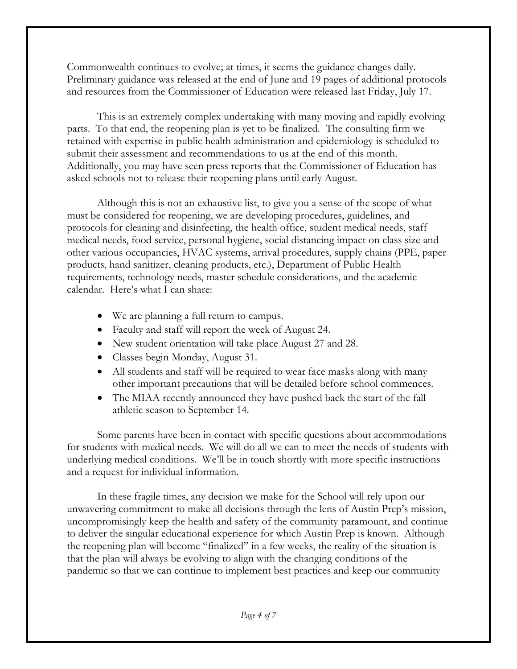Commonwealth continues to evolve; at times, it seems the guidance changes daily. Preliminary guidance was released at the end of June and 19 pages of additional protocols and resources from the Commissioner of Education were released last Friday, July 17.

This is an extremely complex undertaking with many moving and rapidly evolving parts. To that end, the reopening plan is yet to be finalized. The consulting firm we retained with expertise in public health administration and epidemiology is scheduled to submit their assessment and recommendations to us at the end of this month. Additionally, you may have seen press reports that the Commissioner of Education has asked schools not to release their reopening plans until early August.

Although this is not an exhaustive list, to give you a sense of the scope of what must be considered for reopening, we are developing procedures, guidelines, and protocols for cleaning and disinfecting, the health office, student medical needs, staff medical needs, food service, personal hygiene, social distancing impact on class size and other various occupancies, HVAC systems, arrival procedures, supply chains (PPE, paper products, hand sanitizer, cleaning products, etc.), Department of Public Health requirements, technology needs, master schedule considerations, and the academic calendar. Here's what I can share:

- We are planning a full return to campus.
- Faculty and staff will report the week of August 24.
- New student orientation will take place August 27 and 28.
- Classes begin Monday, August 31.
- All students and staff will be required to wear face masks along with many other important precautions that will be detailed before school commences.
- The MIAA recently announced they have pushed back the start of the fall athletic season to September 14.

Some parents have been in contact with specific questions about accommodations for students with medical needs. We will do all we can to meet the needs of students with underlying medical conditions. We'll be in touch shortly with more specific instructions and a request for individual information.

In these fragile times, any decision we make for the School will rely upon our unwavering commitment to make all decisions through the lens of Austin Prep's mission, uncompromisingly keep the health and safety of the community paramount, and continue to deliver the singular educational experience for which Austin Prep is known. Although the reopening plan will become "finalized" in a few weeks, the reality of the situation is that the plan will always be evolving to align with the changing conditions of the pandemic so that we can continue to implement best practices and keep our community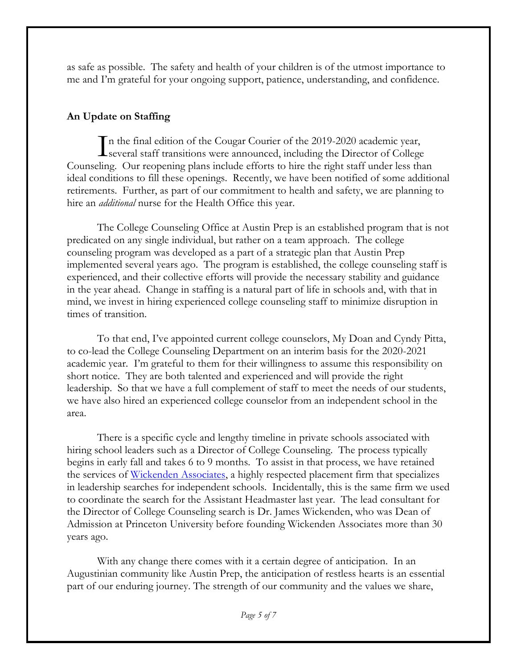as safe as possible. The safety and health of your children is of the utmost importance to me and I'm grateful for your ongoing support, patience, understanding, and confidence.

## **An Update on Staffing**

n the final edition of the Cougar Courier of the 2019-2020 academic year, In the final edition of the Cougar Courier of the 2019-2020 academic year,<br>several staff transitions were announced, including the Director of College Counseling. Our reopening plans include efforts to hire the right staff under less than ideal conditions to fill these openings. Recently, we have been notified of some additional retirements. Further, as part of our commitment to health and safety, we are planning to hire an *additional* nurse for the Health Office this year.

The College Counseling Office at Austin Prep is an established program that is not predicated on any single individual, but rather on a team approach. The college counseling program was developed as a part of a strategic plan that Austin Prep implemented several years ago. The program is established, the college counseling staff is experienced, and their collective efforts will provide the necessary stability and guidance in the year ahead. Change in staffing is a natural part of life in schools and, with that in mind, we invest in hiring experienced college counseling staff to minimize disruption in times of transition.

To that end, I've appointed current college counselors, My Doan and Cyndy Pitta, to co-lead the College Counseling Department on an interim basis for the 2020-2021 academic year. I'm grateful to them for their willingness to assume this responsibility on short notice. They are both talented and experienced and will provide the right leadership. So that we have a full complement of staff to meet the needs of our students, we have also hired an experienced college counselor from an independent school in the area.

There is a specific cycle and lengthy timeline in private schools associated with hiring school leaders such as a Director of College Counseling. The process typically begins in early fall and takes 6 to 9 months. To assist in that process, we have retained the services of [Wickenden Associates,](http://www.wickenden.com/) a highly respected placement firm that specializes in leadership searches for independent schools. Incidentally, this is the same firm we used to coordinate the search for the Assistant Headmaster last year. The lead consultant for the Director of College Counseling search is Dr. James Wickenden, who was Dean of Admission at Princeton University before founding Wickenden Associates more than 30 years ago.

With any change there comes with it a certain degree of anticipation. In an Augustinian community like Austin Prep, the anticipation of restless hearts is an essential part of our enduring journey. The strength of our community and the values we share,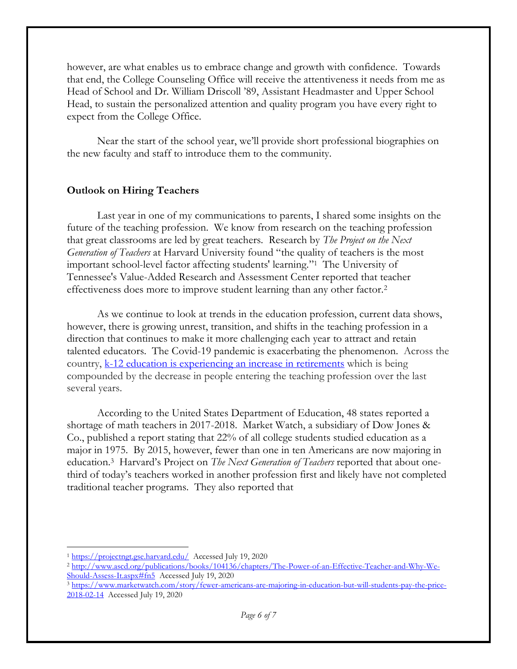however, are what enables us to embrace change and growth with confidence. Towards that end, the College Counseling Office will receive the attentiveness it needs from me as Head of School and Dr. William Driscoll '89, Assistant Headmaster and Upper School Head, to sustain the personalized attention and quality program you have every right to expect from the College Office.

Near the start of the school year, we'll provide short professional biographies on the new faculty and staff to introduce them to the community.

### **Outlook on Hiring Teachers**

Last year in one of my communications to parents, I shared some insights on the future of the teaching profession. We know from research on the teaching profession that great classrooms are led by great teachers. Research by *The Project on the Next Generation of Teachers* at Harvard University found "the quality of teachers is the most important school-level factor affecting students' learning." 1 The University of Tennessee's Value-Added Research and Assessment Center reported that teacher effectiveness does more to improve student learning than any other factor.<sup>2</sup>

As we continue to look at trends in the education profession, current data shows, however, there is growing unrest, transition, and shifts in the teaching profession in a direction that continues to make it more challenging each year to attract and retain talented educators. The Covid-19 pandemic is exacerbating the phenomenon. Across the country, [k-12 education is experiencing an increase in retirements](https://time.com/5864158/coronavirus-teachers-school/) which is being compounded by the decrease in people entering the teaching profession over the last several years.

According to the United States Department of Education, 48 states reported a shortage of math teachers in 2017-2018. Market Watch, a subsidiary of Dow Jones & Co., published a report stating that 22% of all college students studied education as a major in 1975. By 2015, however, fewer than one in ten Americans are now majoring in education.<sup>3</sup> Harvard's Project on *The Next Generation of Teachers* reported that about onethird of today's teachers worked in another profession first and likely have not completed traditional teacher programs. They also reported that

 $\overline{a}$ <sup>1</sup> <https://projectngt.gse.harvard.edu/>Accessed July 19, 2020

<sup>2</sup> [http://www.ascd.org/publications/books/104136/chapters/The-Power-of-an-Effective-Teacher-and-Why-We-](http://www.ascd.org/publications/books/104136/chapters/The-Power-of-an-Effective-Teacher-and-Why-We-Should-Assess-It.aspx#fn5)[Should-Assess-It.aspx#fn5](http://www.ascd.org/publications/books/104136/chapters/The-Power-of-an-Effective-Teacher-and-Why-We-Should-Assess-It.aspx#fn5) Accessed July 19, 2020

<sup>3</sup> [https://www.marketwatch.com/story/fewer-americans-are-majoring-in-education-but-will-students-pay-the-price-](https://www.marketwatch.com/story/fewer-americans-are-majoring-in-education-but-will-students-pay-the-price-2018-02-14)[2018-02-14](https://www.marketwatch.com/story/fewer-americans-are-majoring-in-education-but-will-students-pay-the-price-2018-02-14) Accessed July 19, 2020